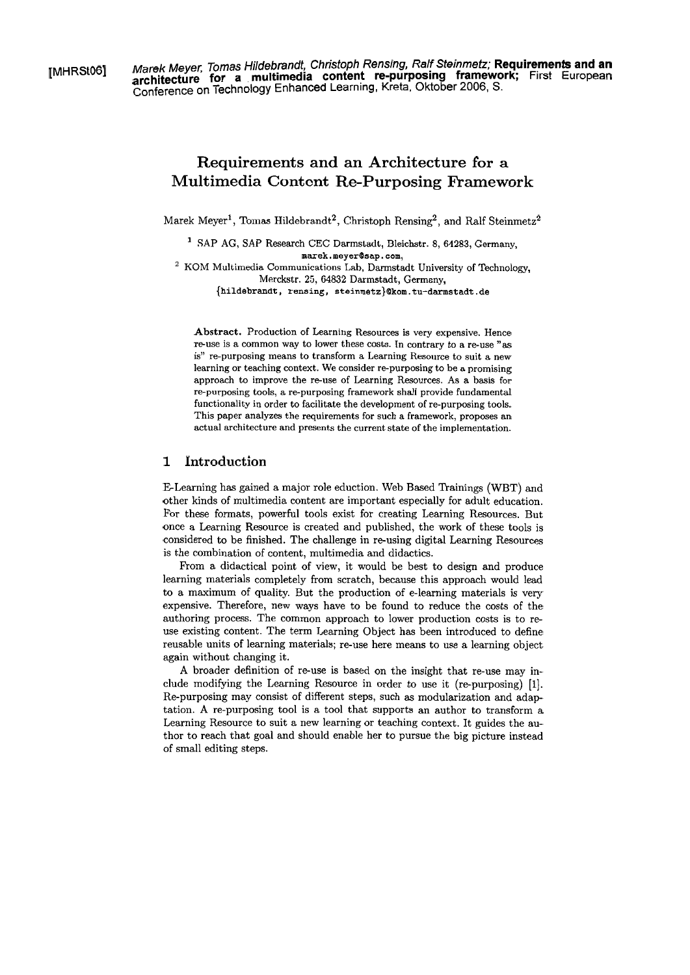[MHR~] **Marek Meyec Tomas Hildebranq Chnstoph Rensing, Ralf Steinmetz; Requirements arid an**  architecture for a multimedia content re-purposing framework; First European Conference on Technology Enhanced Learning, Kreta, Oktober 2006, **S.** 

# **Requirements and an Architecture for a Multimedia Content Re-Purposing Framework**

Marek Meyer<sup>1</sup>, Tomas Hildebrandt<sup>2</sup>, Christoph Rensing<sup>2</sup>, and Ralf Steinmetz<sup>2</sup>

' SAP AG, SAP Research CEC Darmstadt, Bleichstr. **8, 64283,** Germany, marek.meyer0sap.com,  $2$  KOM Multimedia Communications Lab, Darmstadt University of Technology,

Merckstr. **25, 64832** Darmstadt, Germany,

{hildebrandt, rensing, **steinmetz)@kom.tu-darmstadt.de** 

Abstract. Production of Learning Resources is very expensive. Hence re-use is a common way to lower these costs. In contrary to a re-use "as is" re-purposing means to transform a Learning Resource to suit a new learning or teaching context. We consider re-purposing to be a promising approach to improve the re-use of Learning Resources. As a basis for re-purposing tools, a re-purposing framework shall provide fundamental functionality in order to facilitate the development of re-purposing tools. This paper analyzes the requirements for such a framework, proposes an actual architecture and presents the current state of the implementation.

# **1 Introduction**

ELearning has gained a major role eduction. Web Based Trainings (WBT) and other kinds of multimedia content are important especially for adult education. For these formats, powerful tools exist for creating Learning Resources. But once a Learning Resource is created and published, the work of these tools is considered to be finished. The challenge in re-using digital Learning Resources is the combination of content, multimedia and didactics.

From a didactical point of view, it would be best to design and produce learning materials completely from scratch, because this approach would lead to a maximum of quality. But the production of e-learning materials is very expensive. Therefore, new ways have to be found to reduce the costs of the authoring process. The common approach to lower production costs is to reuse existing content. The term Learning Object has been introduced to define reusable units of learning materials; re-use here means to use a learning object again without changing it.

**A** broader definition of re-use is based on the insight that re-use may include modifying the Learning Resource in order to use it (re-purposing) [I]. Re-purposing may consist of different steps, such as modularization and adap tation. **A** re-purposing tool is a tool that supports an author to transform a Learning Resource to suit a new learning or teaching context. It guides the author to reach that goal and should enable her to pursue the big picture instead of small editing steps.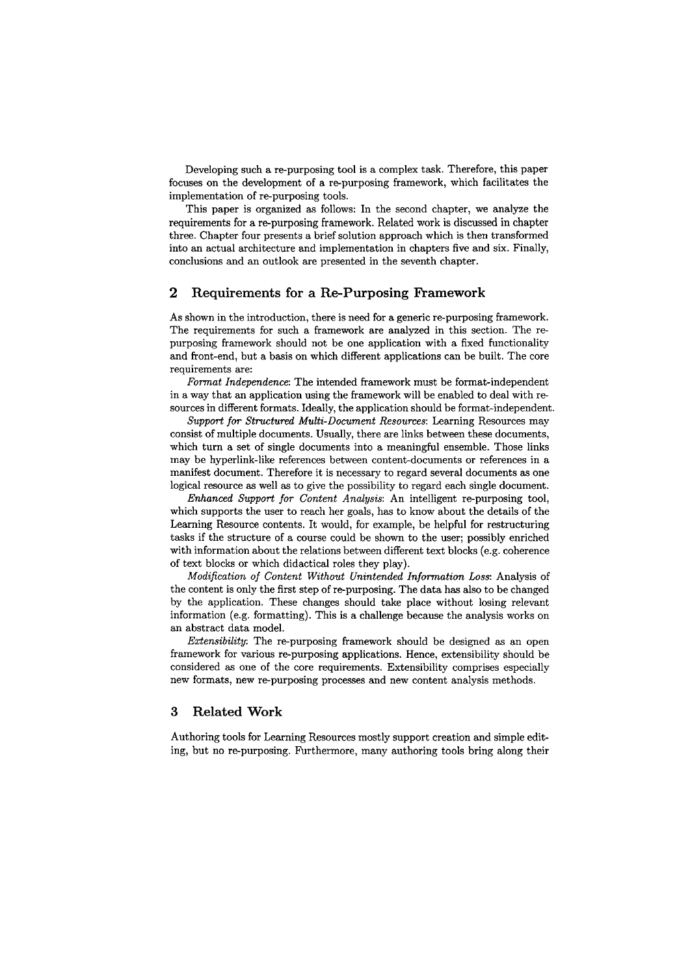Developing such a re-purposing tool is a complex task. Therefore, this paper focuses on the development of a re-purposing framework, which facilitates the implementation of re-purposing tools.

This paper is organized as follows: In the second chapter, we analyze the requirements for a re-purposing framework. Related work is discussed in chapter three. Chapter four presents a brief solution approach which is then transformed into an actual architecture and implementation in chapters five and six. Finally, conclusions and an outlook are presented in the seventh chapter.

### **2 Requirements for a Re-Purposing Framework**

As shown in the introduction, there is need for a generic re-purposing framework. The requirements for such a framework are analyzed in this section. The repurposing framework should not be one application with a fixed functionality and front-end, but a basis on which different applications can be built. The core requirements are:

*Format Independence:* The intended framework must be format-independent in a way that an application using the framework will be enabled to deal with resources in different formats. Ideally, the application should be format-independent.

*Support for Structured Multi-Document Resources:* Learning Resources may consist of multiple documents. Usually, there are links between these documents, which turn a set of single documents into a meaningful ensemble. Those links may be hyperlink-like references between content-documents or references in a manifest document. Therefore it is necessary to regard several documents **as** one logical resource as well as to give the possibility to regard each single document.

*Enhanced Support for Content Analysis:* An intelligent re-purposing tool, which supports the user to reach her goals, has to know about the details of the Learning Resource contents. It would, for example, be helpful for restructuring tasks if the structure of a Course could be shown to the User; possibly enriched with information about the relations between different text blocks (e.g. coherence of text blocks or which didactical roles they play).

*Modification of Content Without Unintended Information Loss:* Analysis of the content is only the first step of re-purposing. The data has also to be changed by the application. These changes should take place without losing relevant information (e.g. formatting). This is a challenge because the analysis works on an abstract data model.

*Extensibility*: The re-purposing framework should be designed as an open framework for various re-purposing applications. Hence, extensibility should be considered as one of the core requirements. Extensibility comprises especially new formats, new re-purposing processes and new content analysis methods.

# **3 Related Work**

Authoring tools for Learning Resources mostly Support creation and simple editing, but no re-purposing. Furthermore, many authoring tools bring along their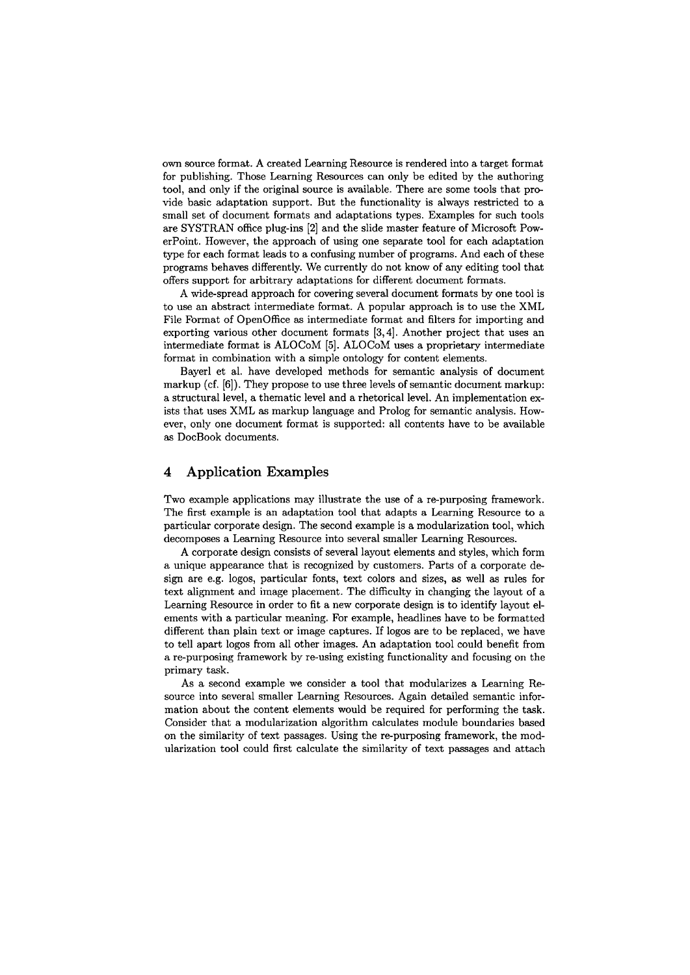own source format. A created Learning Resource is rendered into a target format for publishing. Those Learning Resources can only be edited by the authoring tool, and only if the original source is available. There are some tools that prcvide basic adaptation support. But the functionality is always restricted to a small set of document formats and adaptations types. Examples for such tools are SYSTRAN office plug-ins [2] and the slide master feature of Microsoft PowerPoint. However, the approach of using one separate tool for each adaptation type for each format leads to a confusing number of programs. And each of these programs behaves differently. We currently do not know of any editing tool that offers support for arbitrary adaptations for different document formats.

**A** wide-spread approach for covering several docurnent formats by one tool is to use an abstract intermediate format. A popular approach is to use the XML File Format of OpenOffice as intermediate format and filters for importing and exporting various other document formats [3,4]. Another project that uses an intermediate format is ALOCoM *[5].* ALOCoM uses a proprietary intermediate format in combination with a simple ontology for content elements.

Bayer1 et al. have developed methods for semantic analysis of document markup (cf. [6]). They propose to use three levels of semantic document markup: a structural level, a thematic level and a rhetorical level. An implementation exists that uses XML as markup language and Prolog for semantic analysis. However, only one document format is supported: all contents have to be available as DocBook documents.

#### **4 Application Examples**

Two example applications may illustrate the use of a re-purposing framework. The first example is an adaptation tool that adapts a Learning Resource to a particular corporate design. The second example is a modularization tool, which decomposes a Learning Resource into several smaller Learning Resources.

A corporate design consists of several layout elements and styles, which form a unique appearance that is recognized by customers. Parts of a corporate design are e.g. logos, particular fonts, text colors and sizes, as well as rules for text alignment and image placement. The difficulty in changing the layout of a Learning Resource in order to fit a new corporate design is to identify layout elements with a particular meaning. For example, headlines have to be formatted different than plain text or image captures. If logos are to be replaced, we have to tell apart logos from all other images. An adaptation tool could benefit from a re-purposing framework by re-using existing functionality and focusing on the primary task.

As a second example we consider a tool that modularizes a Learning Resource into several smaller Learning Resources. Again detailed semantic information about the content elements would be required for performing the task. Consider that a modularization algorithm calculates module boundaries based on the similarity of text passages. Using the re-purposing framework, the modularization tool could first calculate the similarity of text passages and attach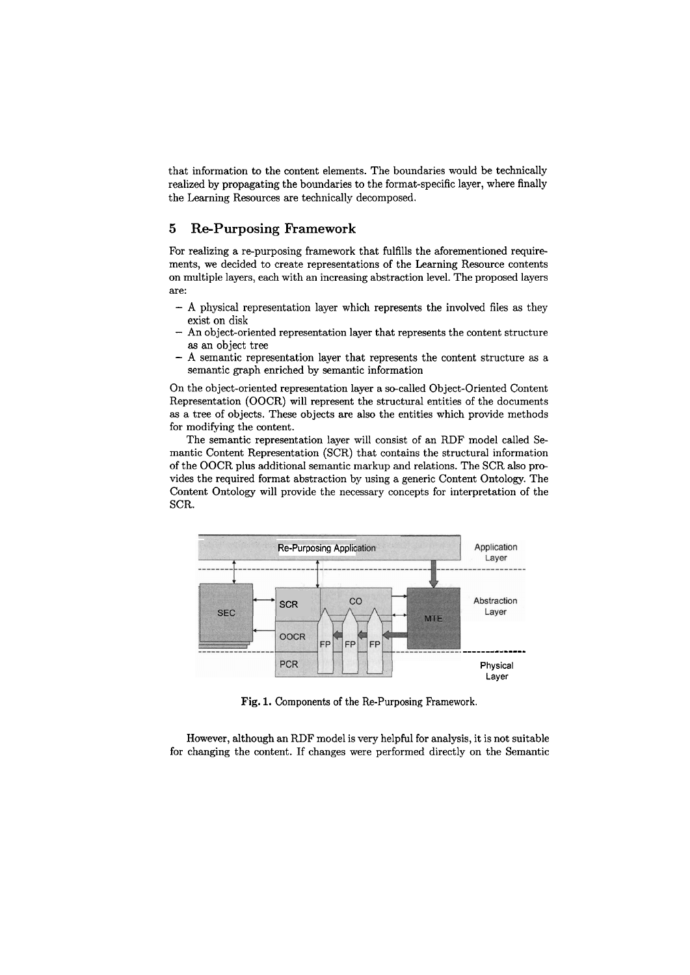that information to the content elements. The boundaries would be technically realized by propagating the boundaries to the format-specific layer, where finally the Learning Resources are technically decomposed.

#### **5 Re-Purposing Framework**

For realizing a re-purposing framework that fulfills the aforementioned requirements, we decided to create representations of the Learning Resource contents on multiple layers, each with an increasing abstraction level. The proposed layers are:

- A physical representation layer which represents the involved files **as** they exist on disk
- An object-oriented representation layer that represents the content structure **as** an object tree
- **A** semantic representation layer that represents the content structure **as** <sup>a</sup> semantic graph enriched by semantic information

On the object-oriented representation layer a so-called Object-Oriented Content Representation (OOCR) will represent the structural entities of the documents **as** a tree of objects. These objects are also the entities which provide methods for modifying the content.

The semantic representation layer will consist of an RDF model called Semantic Content Representation (SCR) that contains the structural information of the OOCR plus additional semantic markup and relations. The SCR also provides the required format abstraction by using a generic Content Ontology. The Content Ontology will provide the necessary concepts for interpretation of the SCR.



**Fig.** 1. Components of the Re-Purposing Framework.

However, although an RDF model is very helpful for analysis, it is not suitable for changing the content. If changes were performed directly on the Semantic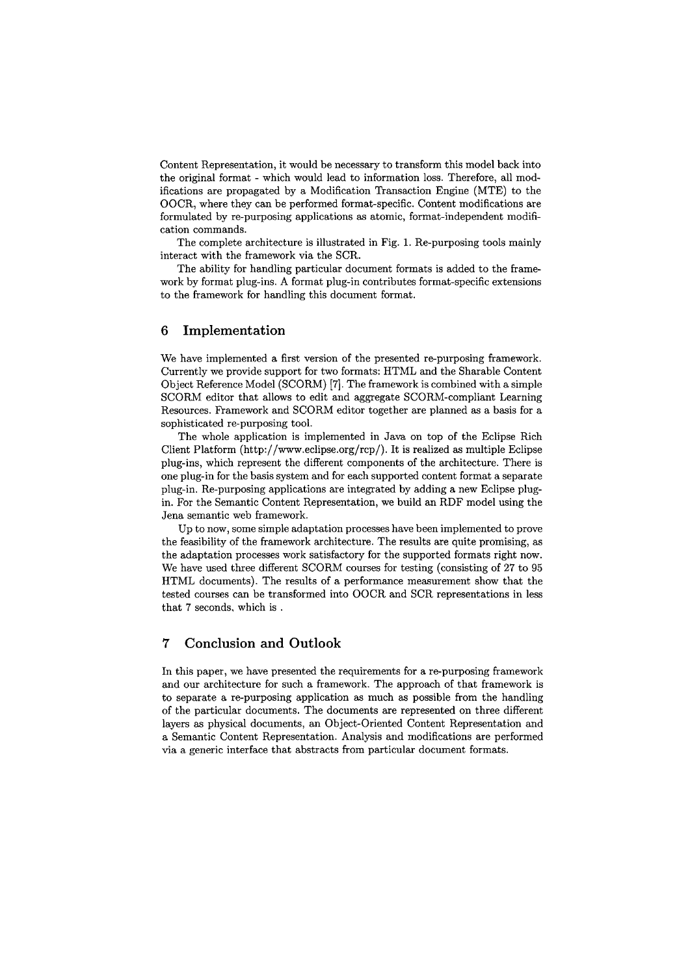Content Representation, it would be necessary to transform this model back into the original format - which would lead to information loss. Therefore, all modifications are propagated by a Modification Transaction Engine (MTE) to the OOCR, where they can be performed format-specific. Content modifications are formulated by re-purposing applications as atomic, format-independent modification commands.

The complete architecture is illustrated in Fig. 1. Re-purposing tools mainly interact with the framework via the SCR.

The ability for handling particular document formats is added to the framework by format plug-ins. **A** format plug-in contributes format-specific extensions to the framework for handling this document format.

# **6 Implementation**

We have implemented a first version of the presented re-purposing framework. Currently we provide Support for two formats: HTML and the Sharable Content Object Reference Model (SCORM) **[7].** The framework is combined with a simple SCORM editor that allows to edit and aggregate SCORM-compliant Learning Resources. Framework and SCORM editor together are planned as a basis for a sophisticated re-purposing tool.

The whole application is implemented in Java on top of the Eclipse Rich Client Platform (http://www.eclipse.org/rcp/). It is realized as multiple Eclipse plug-ins, which represent the different components of the architecture. There is one plug-in for the basis system and for each supported content format a separate plug-in. Re-purposing applications are integrated by adding a new Eclipse plugin. For the Semantic Content Representation, we build an RDF model using the Jena semantic web framework.

Up to now, some simple adaptation processes have been implemented to prove the feasibility of the framework architecture. The results are quite promising, as the adaptation processes work satisfactory for the supported formats right now. We have used three different SCORM courses for testing (consisting of 27 to 95 HTML documents). The results of a performance measurement show that the tested courses can be transformed into OOCR and SCR representations in less that 7 seconds, which is .

# **7 Conclusion and Outlook**

In this paper, we have presented the requirements for a re-purposing framework and our architecture for such a framework. The approach of that framework is to separate a re-purposing application as much as possible from the handling of the particular documents. The documents are represented on three different layers as physical documents, an Object-Oriented Content Representation and a Semantic Content Representation. Analysis and modifications are performed via a generic interface that abstracts from particular document formats.